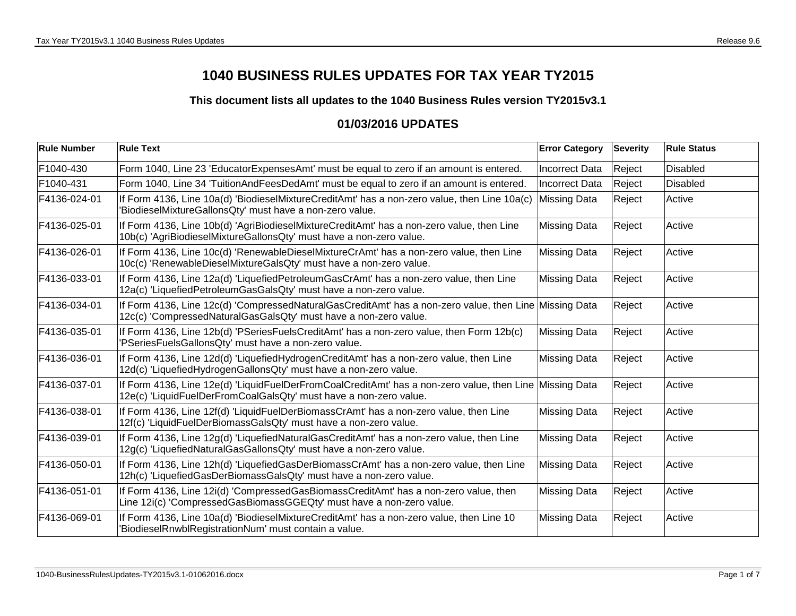## **1040 BUSINESS RULES UPDATES FOR TAX YEAR TY2015**

**This document lists all updates to the 1040 Business Rules version TY2015v3.1**

## **01/03/2016 UPDATES**

| <b>Rule Number</b> | <b>Rule Text</b>                                                                                                                                                             | <b>Error Category</b> | <b>Severity</b> | <b>Rule Status</b> |
|--------------------|------------------------------------------------------------------------------------------------------------------------------------------------------------------------------|-----------------------|-----------------|--------------------|
| F1040-430          | Form 1040, Line 23 'EducatorExpensesAmt' must be equal to zero if an amount is entered.                                                                                      | <b>Incorrect Data</b> | Reject          | <b>Disabled</b>    |
| F1040-431          | Form 1040, Line 34 'TuitionAndFeesDedAmt' must be equal to zero if an amount is entered.                                                                                     | Incorrect Data        | Reject          | <b>Disabled</b>    |
| F4136-024-01       | If Form 4136, Line 10a(d) 'BiodieselMixtureCreditAmt' has a non-zero value, then Line 10a(c)<br>'BiodieselMixtureGallonsQty' must have a non-zero value.                     | <b>Missing Data</b>   | Reject          | Active             |
| F4136-025-01       | If Form 4136, Line 10b(d) 'AgriBiodieselMixtureCreditAmt' has a non-zero value, then Line<br>10b(c) 'AgriBiodieselMixtureGallonsQty' must have a non-zero value.             | <b>Missing Data</b>   | Reject          | Active             |
| F4136-026-01       | If Form 4136, Line 10c(d) 'RenewableDieselMixtureCrAmt' has a non-zero value, then Line<br>10c(c) 'RenewableDieselMixtureGalsQty' must have a non-zero value.                | <b>Missing Data</b>   | Reject          | Active             |
| F4136-033-01       | If Form 4136, Line 12a(d) 'LiquefiedPetroleumGasCrAmt' has a non-zero value, then Line<br>12a(c) 'LiquefiedPetroleumGasGalsQty' must have a non-zero value.                  | <b>Missing Data</b>   | Reject          | Active             |
| F4136-034-01       | If Form 4136, Line 12c(d) 'CompressedNaturalGasCreditAmt' has a non-zero value, then Line Missing Data<br>12c(c) 'CompressedNaturalGasGalsQty' must have a non-zero value.   |                       | Reject          | Active             |
| F4136-035-01       | If Form 4136, Line 12b(d) 'PSeriesFuelsCreditAmt' has a non-zero value, then Form 12b(c)<br>'PSeriesFuelsGallonsQty' must have a non-zero value.                             | <b>Missing Data</b>   | Reject          | Active             |
| F4136-036-01       | If Form 4136, Line 12d(d) 'LiquefiedHydrogenCreditAmt' has a non-zero value, then Line<br>12d(c) 'LiquefiedHydrogenGallonsQty' must have a non-zero value.                   | <b>Missing Data</b>   | Reject          | Active             |
| F4136-037-01       | If Form 4136, Line 12e(d) 'LiquidFuelDerFromCoalCreditAmt' has a non-zero value, then Line Missing Data<br>12e(c) 'LiquidFuelDerFromCoalGalsQty' must have a non-zero value. |                       | Reject          | Active             |
| F4136-038-01       | If Form 4136, Line 12f(d) 'LiquidFuelDerBiomassCrAmt' has a non-zero value, then Line<br>12f(c) 'LiquidFuelDerBiomassGalsQty' must have a non-zero value.                    | <b>Missing Data</b>   | Reject          | Active             |
| F4136-039-01       | If Form 4136, Line 12g(d) 'LiquefiedNaturalGasCreditAmt' has a non-zero value, then Line<br>12g(c) 'LiquefiedNaturalGasGallonsQty' must have a non-zero value.               | <b>Missing Data</b>   | Reject          | Active             |
| F4136-050-01       | If Form 4136, Line 12h(d) 'LiquefiedGasDerBiomassCrAmt' has a non-zero value, then Line<br>12h(c) 'LiquefiedGasDerBiomassGalsQty' must have a non-zero value.                | <b>Missing Data</b>   | Reject          | Active             |
| F4136-051-01       | If Form 4136, Line 12i(d) 'CompressedGasBiomassCreditAmt' has a non-zero value, then<br>Line 12i(c) 'CompressedGasBiomassGGEQty' must have a non-zero value.                 | <b>Missing Data</b>   | Reject          | Active             |
| F4136-069-01       | If Form 4136, Line 10a(d) 'BiodieselMixtureCreditAmt' has a non-zero value, then Line 10<br>'BiodieselRnwblRegistrationNum' must contain a value.                            | <b>Missing Data</b>   | Reject          | Active             |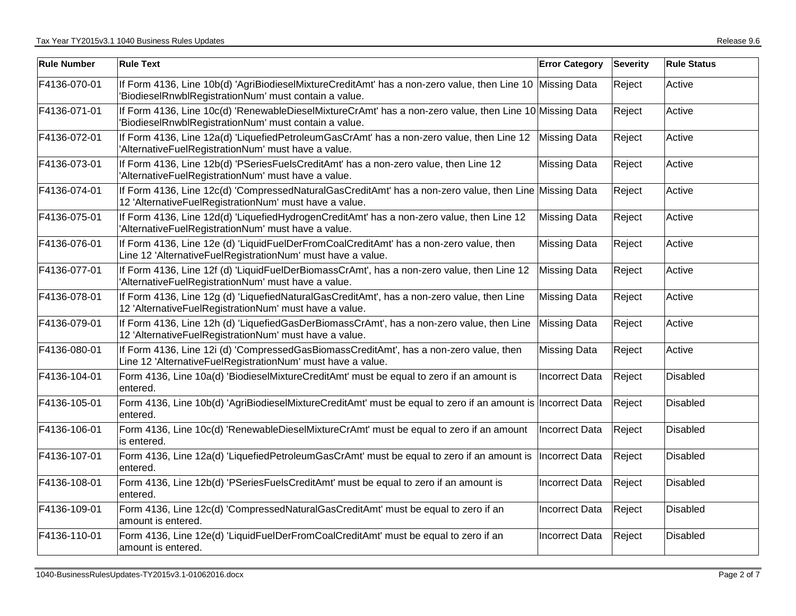| <b>Rule Number</b> | <b>Rule Text</b>                                                                                                                                                   | <b>Error Category</b> | <b>Severity</b> | <b>Rule Status</b> |
|--------------------|--------------------------------------------------------------------------------------------------------------------------------------------------------------------|-----------------------|-----------------|--------------------|
| F4136-070-01       | If Form 4136, Line 10b(d) 'AgriBiodieselMixtureCreditAmt' has a non-zero value, then Line 10 Missing Data<br>'BiodieselRnwblRegistrationNum' must contain a value. |                       | Reject          | Active             |
| F4136-071-01       | If Form 4136, Line 10c(d) 'RenewableDieselMixtureCrAmt' has a non-zero value, then Line 10 Missing Data<br>'BiodieselRnwblRegistrationNum' must contain a value.   |                       | Reject          | Active             |
| F4136-072-01       | If Form 4136, Line 12a(d) 'LiquefiedPetroleumGasCrAmt' has a non-zero value, then Line 12 Missing Data<br>'AlternativeFuelRegistrationNum' must have a value.      |                       | Reject          | Active             |
| F4136-073-01       | If Form 4136, Line 12b(d) 'PSeriesFuelsCreditAmt' has a non-zero value, then Line 12<br>'AlternativeFuelRegistrationNum' must have a value.                        | <b>Missing Data</b>   | Reject          | Active             |
| F4136-074-01       | If Form 4136, Line 12c(d) 'CompressedNaturalGasCreditAmt' has a non-zero value, then Line Missing Data<br>12 'AlternativeFuelRegistrationNum' must have a value.   |                       | Reject          | Active             |
| F4136-075-01       | If Form 4136, Line 12d(d) 'LiquefiedHydrogenCreditAmt' has a non-zero value, then Line 12<br>'AlternativeFuelRegistrationNum' must have a value.                   | <b>Missing Data</b>   | Reject          | Active             |
| F4136-076-01       | If Form 4136, Line 12e (d) 'LiquidFuelDerFromCoalCreditAmt' has a non-zero value, then<br>Line 12 'AlternativeFuelRegistrationNum' must have a value.              | <b>Missing Data</b>   | Reject          | Active             |
| F4136-077-01       | If Form 4136, Line 12f (d) 'LiquidFuelDerBiomassCrAmt', has a non-zero value, then Line 12<br>'AlternativeFuelRegistrationNum' must have a value.                  | <b>Missing Data</b>   | Reject          | Active             |
| F4136-078-01       | If Form 4136, Line 12g (d) 'LiquefiedNaturalGasCreditAmt', has a non-zero value, then Line<br>12 'AlternativeFuelRegistrationNum' must have a value.               | <b>Missing Data</b>   | Reject          | Active             |
| F4136-079-01       | If Form 4136, Line 12h (d) 'LiquefiedGasDerBiomassCrAmt', has a non-zero value, then Line<br>12 'AlternativeFuelRegistrationNum' must have a value.                | <b>Missing Data</b>   | Reject          | Active             |
| F4136-080-01       | If Form 4136, Line 12i (d) 'CompressedGasBiomassCreditAmt', has a non-zero value, then<br>Line 12 'AlternativeFuelRegistrationNum' must have a value.              | <b>Missing Data</b>   | Reject          | Active             |
| F4136-104-01       | Form 4136, Line 10a(d) 'BiodieselMixtureCreditAmt' must be equal to zero if an amount is<br>entered.                                                               | <b>Incorrect Data</b> | Reject          | Disabled           |
| F4136-105-01       | Form 4136, Line 10b(d) 'AgriBiodieselMixtureCreditAmt' must be equal to zero if an amount is Incorrect Data<br>entered.                                            |                       | Reject          | <b>Disabled</b>    |
| F4136-106-01       | Form 4136, Line 10c(d) 'RenewableDieselMixtureCrAmt' must be equal to zero if an amount<br>is entered.                                                             | Incorrect Data        | Reject          | <b>Disabled</b>    |
| F4136-107-01       | Form 4136, Line 12a(d) 'LiquefiedPetroleumGasCrAmt' must be equal to zero if an amount is<br>entered.                                                              | Incorrect Data        | Reject          | <b>Disabled</b>    |
| F4136-108-01       | Form 4136, Line 12b(d) 'PSeriesFuelsCreditAmt' must be equal to zero if an amount is<br>entered.                                                                   | <b>Incorrect Data</b> | Reject          | <b>Disabled</b>    |
| F4136-109-01       | Form 4136, Line 12c(d) 'CompressedNaturalGasCreditAmt' must be equal to zero if an<br>amount is entered.                                                           | <b>Incorrect Data</b> | Reject          | <b>Disabled</b>    |
| F4136-110-01       | Form 4136, Line 12e(d) 'LiquidFuelDerFromCoalCreditAmt' must be equal to zero if an<br>amount is entered.                                                          | <b>Incorrect Data</b> | Reject          | <b>Disabled</b>    |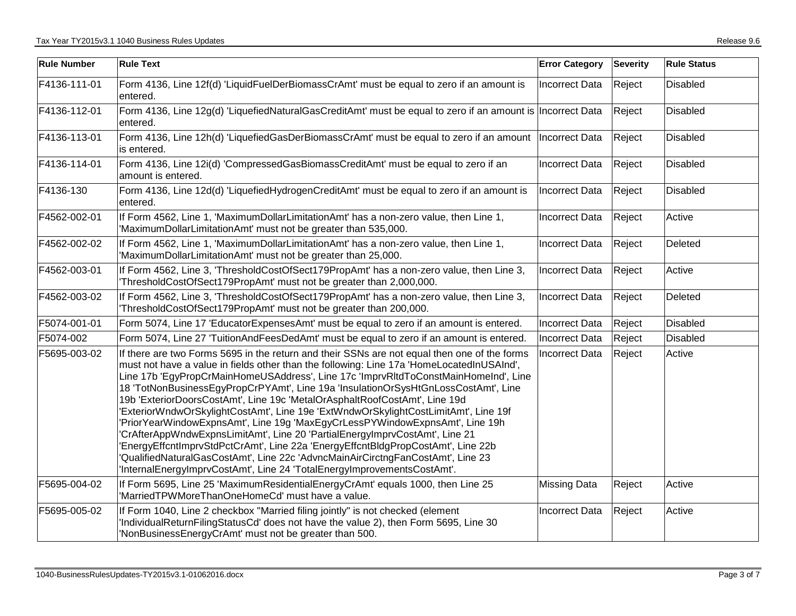| <b>Rule Number</b> | <b>Rule Text</b>                                                                                                                                                                                                                                                                                                                                                                                                                                                                                                                                                                                                                                                                                                                                                                                                                                                                                                                                             | <b>Error Category</b> | <b>Severity</b> | <b>Rule Status</b> |
|--------------------|--------------------------------------------------------------------------------------------------------------------------------------------------------------------------------------------------------------------------------------------------------------------------------------------------------------------------------------------------------------------------------------------------------------------------------------------------------------------------------------------------------------------------------------------------------------------------------------------------------------------------------------------------------------------------------------------------------------------------------------------------------------------------------------------------------------------------------------------------------------------------------------------------------------------------------------------------------------|-----------------------|-----------------|--------------------|
| F4136-111-01       | Form 4136, Line 12f(d) 'LiquidFuelDerBiomassCrAmt' must be equal to zero if an amount is<br>entered.                                                                                                                                                                                                                                                                                                                                                                                                                                                                                                                                                                                                                                                                                                                                                                                                                                                         | <b>Incorrect Data</b> | Reject          | <b>Disabled</b>    |
| F4136-112-01       | Form 4136, Line 12g(d) 'LiquefiedNaturalGasCreditAmt' must be equal to zero if an amount is Incorrect Data<br>entered.                                                                                                                                                                                                                                                                                                                                                                                                                                                                                                                                                                                                                                                                                                                                                                                                                                       |                       | Reject          | Disabled           |
| F4136-113-01       | Form 4136, Line 12h(d) 'LiquefiedGasDerBiomassCrAmt' must be equal to zero if an amount  Incorrect Data<br>is entered.                                                                                                                                                                                                                                                                                                                                                                                                                                                                                                                                                                                                                                                                                                                                                                                                                                       |                       | Reject          | <b>Disabled</b>    |
| F4136-114-01       | Form 4136, Line 12i(d) 'CompressedGasBiomassCreditAmt' must be equal to zero if an<br>amount is entered.                                                                                                                                                                                                                                                                                                                                                                                                                                                                                                                                                                                                                                                                                                                                                                                                                                                     | <b>Incorrect Data</b> | Reject          | Disabled           |
| F4136-130          | Form 4136, Line 12d(d) 'LiquefiedHydrogenCreditAmt' must be equal to zero if an amount is<br>entered.                                                                                                                                                                                                                                                                                                                                                                                                                                                                                                                                                                                                                                                                                                                                                                                                                                                        | Incorrect Data        | Reject          | Disabled           |
| F4562-002-01       | If Form 4562, Line 1, 'MaximumDollarLimitationAmt' has a non-zero value, then Line 1,<br>'MaximumDollarLimitationAmt' must not be greater than 535,000.                                                                                                                                                                                                                                                                                                                                                                                                                                                                                                                                                                                                                                                                                                                                                                                                      | <b>Incorrect Data</b> | Reject          | Active             |
| F4562-002-02       | If Form 4562, Line 1, 'MaximumDollarLimitationAmt' has a non-zero value, then Line 1,<br>'MaximumDollarLimitationAmt' must not be greater than 25,000.                                                                                                                                                                                                                                                                                                                                                                                                                                                                                                                                                                                                                                                                                                                                                                                                       | <b>Incorrect Data</b> | Reject          | Deleted            |
| F4562-003-01       | If Form 4562, Line 3, 'ThresholdCostOfSect179PropAmt' has a non-zero value, then Line 3,<br>ThresholdCostOfSect179PropAmt' must not be greater than 2,000,000.                                                                                                                                                                                                                                                                                                                                                                                                                                                                                                                                                                                                                                                                                                                                                                                               | Incorrect Data        | Reject          | Active             |
| F4562-003-02       | If Form 4562, Line 3, 'ThresholdCostOfSect179PropAmt' has a non-zero value, then Line 3,<br>ThresholdCostOfSect179PropAmt' must not be greater than 200,000.                                                                                                                                                                                                                                                                                                                                                                                                                                                                                                                                                                                                                                                                                                                                                                                                 | <b>Incorrect Data</b> | Reject          | Deleted            |
| F5074-001-01       | Form 5074, Line 17 'EducatorExpensesAmt' must be equal to zero if an amount is entered.                                                                                                                                                                                                                                                                                                                                                                                                                                                                                                                                                                                                                                                                                                                                                                                                                                                                      | <b>Incorrect Data</b> | Reject          | <b>Disabled</b>    |
| F5074-002          | Form 5074, Line 27 'TuitionAndFeesDedAmt' must be equal to zero if an amount is entered.                                                                                                                                                                                                                                                                                                                                                                                                                                                                                                                                                                                                                                                                                                                                                                                                                                                                     | Incorrect Data        | Reject          | Disabled           |
| F5695-003-02       | If there are two Forms 5695 in the return and their SSNs are not equal then one of the forms<br>must not have a value in fields other than the following: Line 17a 'HomeLocatedInUSAInd',<br>Line 17b 'EgyPropCrMainHomeUSAddress', Line 17c 'ImprvRItdToConstMainHomeInd', Line<br>18 'TotNonBusinessEgyPropCrPYAmt', Line 19a 'InsulationOrSysHtGnLossCostAmt', Line<br>19b 'ExteriorDoorsCostAmt', Line 19c 'MetalOrAsphaltRoofCostAmt', Line 19d<br>'ExteriorWndwOrSkylightCostAmt', Line 19e 'ExtWndwOrSkylightCostLimitAmt', Line 19f<br>'PriorYearWindowExpnsAmt', Line 19g 'MaxEgyCrLessPYWindowExpnsAmt', Line 19h<br>'CrAfterAppWndwExpnsLimitAmt', Line 20 'PartialEnergyImprvCostAmt', Line 21<br>'EnergyEffcntImprvStdPctCrAmt', Line 22a 'EnergyEffcntBldgPropCostAmt', Line 22b<br>'QualifiedNaturalGasCostAmt', Line 22c 'AdvncMainAirCirctngFanCostAmt', Line 23<br>'InternalEnergyImprvCostAmt', Line 24 'TotalEnergyImprovementsCostAmt'. | <b>Incorrect Data</b> | Reject          | Active             |
| F5695-004-02       | If Form 5695, Line 25 'MaximumResidentialEnergyCrAmt' equals 1000, then Line 25<br>'MarriedTPWMoreThanOneHomeCd' must have a value.                                                                                                                                                                                                                                                                                                                                                                                                                                                                                                                                                                                                                                                                                                                                                                                                                          | <b>Missing Data</b>   | Reject          | Active             |
| F5695-005-02       | If Form 1040, Line 2 checkbox "Married filing jointly" is not checked (element<br>IndividualReturnFilingStatusCd' does not have the value 2), then Form 5695, Line 30<br>'NonBusinessEnergyCrAmt' must not be greater than 500.                                                                                                                                                                                                                                                                                                                                                                                                                                                                                                                                                                                                                                                                                                                              | <b>Incorrect Data</b> | Reject          | Active             |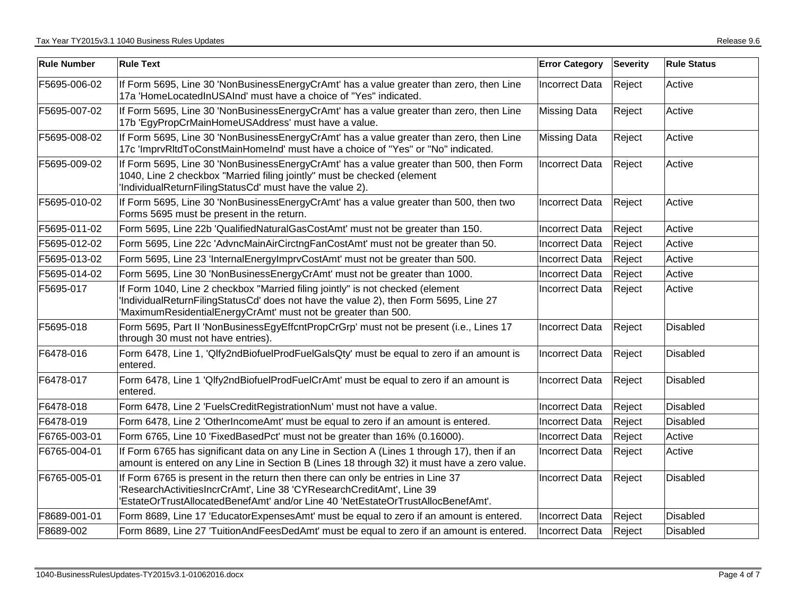| <b>Rule Number</b> | <b>Rule Text</b>                                                                                                                                                                                                                             | <b>Error Category</b> | <b>Severity</b> | <b>Rule Status</b> |
|--------------------|----------------------------------------------------------------------------------------------------------------------------------------------------------------------------------------------------------------------------------------------|-----------------------|-----------------|--------------------|
| F5695-006-02       | If Form 5695, Line 30 'NonBusinessEnergyCrAmt' has a value greater than zero, then Line<br>17a 'HomeLocatedInUSAInd' must have a choice of "Yes" indicated.                                                                                  | <b>Incorrect Data</b> | Reject          | Active             |
| F5695-007-02       | If Form 5695, Line 30 'NonBusinessEnergyCrAmt' has a value greater than zero, then Line<br>17b 'EgyPropCrMainHomeUSAddress' must have a value.                                                                                               | <b>Missing Data</b>   | Reject          | Active             |
| F5695-008-02       | If Form 5695, Line 30 'NonBusinessEnergyCrAmt' has a value greater than zero, then Line<br>17c 'ImprvRItdToConstMainHomeInd' must have a choice of "Yes" or "No" indicated.                                                                  | <b>Missing Data</b>   | Reject          | Active             |
| F5695-009-02       | If Form 5695, Line 30 'NonBusinessEnergyCrAmt' has a value greater than 500, then Form<br>1040, Line 2 checkbox "Married filing jointly" must be checked (element<br>'IndividualReturnFilingStatusCd' must have the value 2).                | <b>Incorrect Data</b> | Reject          | Active             |
| F5695-010-02       | If Form 5695, Line 30 'NonBusinessEnergyCrAmt' has a value greater than 500, then two<br>Forms 5695 must be present in the return.                                                                                                           | <b>Incorrect Data</b> | Reject          | Active             |
| F5695-011-02       | Form 5695, Line 22b 'QualifiedNaturalGasCostAmt' must not be greater than 150.                                                                                                                                                               | <b>Incorrect Data</b> | Reject          | Active             |
| F5695-012-02       | Form 5695, Line 22c 'AdvncMainAirCirctngFanCostAmt' must not be greater than 50.                                                                                                                                                             | <b>Incorrect Data</b> | Reject          | Active             |
| F5695-013-02       | Form 5695, Line 23 'InternalEnergyImprvCostAmt' must not be greater than 500.                                                                                                                                                                | <b>Incorrect Data</b> | Reject          | Active             |
| F5695-014-02       | Form 5695, Line 30 'NonBusinessEnergyCrAmt' must not be greater than 1000.                                                                                                                                                                   | <b>Incorrect Data</b> | Reject          | Active             |
| F5695-017          | If Form 1040, Line 2 checkbox "Married filing jointly" is not checked (element<br>'IndividualReturnFilingStatusCd' does not have the value 2), then Form 5695, Line 27<br>'MaximumResidentialEnergyCrAmt' must not be greater than 500.      | <b>Incorrect Data</b> | Reject          | Active             |
| F5695-018          | Form 5695, Part II 'NonBusinessEgyEffcntPropCrGrp' must not be present (i.e., Lines 17<br>through 30 must not have entries).                                                                                                                 | Incorrect Data        | Reject          | Disabled           |
| F6478-016          | Form 6478, Line 1, 'Qlfy2ndBiofuelProdFuelGalsQty' must be equal to zero if an amount is<br>entered.                                                                                                                                         | <b>Incorrect Data</b> | Reject          | Disabled           |
| F6478-017          | Form 6478, Line 1 'Qlfy2ndBiofuelProdFuelCrAmt' must be equal to zero if an amount is<br>entered.                                                                                                                                            | <b>Incorrect Data</b> | Reject          | <b>Disabled</b>    |
| F6478-018          | Form 6478, Line 2 'FuelsCreditRegistrationNum' must not have a value.                                                                                                                                                                        | <b>Incorrect Data</b> | Reject          | Disabled           |
| F6478-019          | Form 6478, Line 2 'OtherIncomeAmt' must be equal to zero if an amount is entered.                                                                                                                                                            | <b>Incorrect Data</b> | Reject          | <b>Disabled</b>    |
| F6765-003-01       | Form 6765, Line 10 'FixedBasedPct' must not be greater than 16% (0.16000).                                                                                                                                                                   | <b>Incorrect Data</b> | Reject          | Active             |
| F6765-004-01       | If Form 6765 has significant data on any Line in Section A (Lines 1 through 17), then if an<br>amount is entered on any Line in Section B (Lines 18 through 32) it must have a zero value.                                                   | <b>Incorrect Data</b> | Reject          | Active             |
| F6765-005-01       | If Form 6765 is present in the return then there can only be entries in Line 37<br>'ResearchActivitiesIncrCrAmt', Line 38 'CYResearchCreditAmt', Line 39<br>'EstateOrTrustAllocatedBenefAmt' and/or Line 40 'NetEstateOrTrustAllocBenefAmt'. | <b>Incorrect Data</b> | Reject          | <b>Disabled</b>    |
| F8689-001-01       | Form 8689, Line 17 'EducatorExpensesAmt' must be equal to zero if an amount is entered.                                                                                                                                                      | Incorrect Data        | Reject          | <b>Disabled</b>    |
| F8689-002          | Form 8689, Line 27 'TuitionAndFeesDedAmt' must be equal to zero if an amount is entered.                                                                                                                                                     | <b>Incorrect Data</b> | Reject          | Disabled           |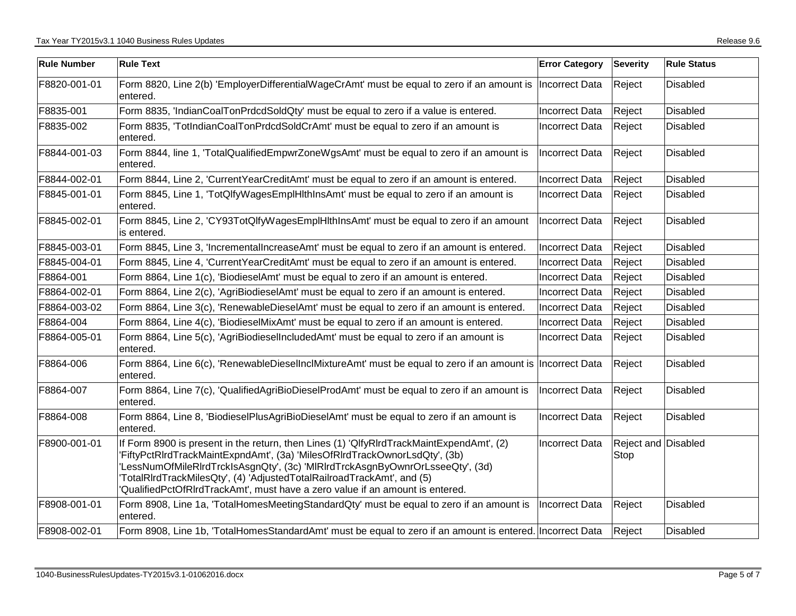| <b>Rule Number</b> | <b>Rule Text</b>                                                                                                                                                                                                                                                                                                                                                                                                  | <b>Error Category</b> | Severity                    | <b>Rule Status</b> |
|--------------------|-------------------------------------------------------------------------------------------------------------------------------------------------------------------------------------------------------------------------------------------------------------------------------------------------------------------------------------------------------------------------------------------------------------------|-----------------------|-----------------------------|--------------------|
| F8820-001-01       | Form 8820, Line 2(b) 'EmployerDifferentialWageCrAmt' must be equal to zero if an amount is  Incorrect Data<br>entered.                                                                                                                                                                                                                                                                                            |                       | Reject                      | Disabled           |
| F8835-001          | Form 8835, 'IndianCoalTonPrdcdSoldQty' must be equal to zero if a value is entered.                                                                                                                                                                                                                                                                                                                               | <b>Incorrect Data</b> | Reject                      | Disabled           |
| F8835-002          | Form 8835, 'TotIndianCoalTonPrdcdSoldCrAmt' must be equal to zero if an amount is<br>entered.                                                                                                                                                                                                                                                                                                                     | <b>Incorrect Data</b> | Reject                      | Disabled           |
| F8844-001-03       | Form 8844, line 1, 'TotalQualifiedEmpwrZoneWgsAmt' must be equal to zero if an amount is<br>entered.                                                                                                                                                                                                                                                                                                              | <b>Incorrect Data</b> | Reject                      | Disabled           |
| F8844-002-01       | Form 8844, Line 2, 'CurrentYearCreditAmt' must be equal to zero if an amount is entered.                                                                                                                                                                                                                                                                                                                          | <b>Incorrect Data</b> | Reject                      | <b>Disabled</b>    |
| F8845-001-01       | Form 8845, Line 1, 'TotQlfyWagesEmplHlthInsAmt' must be equal to zero if an amount is<br>entered.                                                                                                                                                                                                                                                                                                                 | Incorrect Data        | Reject                      | Disabled           |
| F8845-002-01       | Form 8845, Line 2, 'CY93TotQlfyWagesEmplHlthInsAmt' must be equal to zero if an amount<br>is entered.                                                                                                                                                                                                                                                                                                             | Incorrect Data        | Reject                      | Disabled           |
| F8845-003-01       | Form 8845, Line 3, 'IncrementalIncreaseAmt' must be equal to zero if an amount is entered.                                                                                                                                                                                                                                                                                                                        | Incorrect Data        | Reject                      | Disabled           |
| F8845-004-01       | Form 8845, Line 4, 'CurrentYearCreditAmt' must be equal to zero if an amount is entered.                                                                                                                                                                                                                                                                                                                          | <b>Incorrect Data</b> | Reject                      | <b>Disabled</b>    |
| F8864-001          | Form 8864, Line 1(c), 'BiodieselAmt' must be equal to zero if an amount is entered.                                                                                                                                                                                                                                                                                                                               | <b>Incorrect Data</b> | Reject                      | Disabled           |
| F8864-002-01       | Form 8864, Line 2(c), 'AgriBiodieselAmt' must be equal to zero if an amount is entered.                                                                                                                                                                                                                                                                                                                           | Incorrect Data        | Reject                      | Disabled           |
| F8864-003-02       | Form 8864, Line 3(c), 'RenewableDieselAmt' must be equal to zero if an amount is entered.                                                                                                                                                                                                                                                                                                                         | Incorrect Data        | Reject                      | Disabled           |
| F8864-004          | Form 8864, Line 4(c), 'BiodieselMixAmt' must be equal to zero if an amount is entered.                                                                                                                                                                                                                                                                                                                            | <b>Incorrect Data</b> | Reject                      | Disabled           |
| F8864-005-01       | Form 8864, Line 5(c), 'AgriBiodieselIncludedAmt' must be equal to zero if an amount is<br>entered.                                                                                                                                                                                                                                                                                                                | Incorrect Data        | Reject                      | <b>Disabled</b>    |
| F8864-006          | Form 8864, Line 6(c), 'RenewableDieselInclMixtureAmt' must be equal to zero if an amount is Incorrect Data<br>entered.                                                                                                                                                                                                                                                                                            |                       | Reject                      | Disabled           |
| F8864-007          | Form 8864, Line 7(c), 'QualifiedAgriBioDieselProdAmt' must be equal to zero if an amount is<br>entered.                                                                                                                                                                                                                                                                                                           | <b>Incorrect Data</b> | Reject                      | Disabled           |
| F8864-008          | Form 8864, Line 8, 'BiodieselPlusAgriBioDieselAmt' must be equal to zero if an amount is<br>entered.                                                                                                                                                                                                                                                                                                              | <b>Incorrect Data</b> | Reject                      | Disabled           |
| F8900-001-01       | If Form 8900 is present in the return, then Lines (1) 'QlfyRIrdTrackMaintExpendAmt', (2)<br>'FiftyPctRIrdTrackMaintExpndAmt', (3a) 'MilesOfRIrdTrackOwnorLsdQty', (3b)<br>'LessNumOfMileRIrdTrckIsAsgnQty', (3c) 'MIRIrdTrckAsgnByOwnrOrLsseeQty', (3d)<br>TotalRIrdTrackMilesQty', (4) 'AdjustedTotalRailroadTrackAmt', and (5)<br>'QualifiedPctOfRIrdTrackAmt', must have a zero value if an amount is entered. | <b>Incorrect Data</b> | Reject and Disabled<br>Stop |                    |
| F8908-001-01       | Form 8908, Line 1a, 'TotalHomesMeetingStandardQty' must be equal to zero if an amount is<br>entered.                                                                                                                                                                                                                                                                                                              | Incorrect Data        | Reject                      | Disabled           |
| F8908-002-01       | Form 8908, Line 1b, 'TotalHomesStandardAmt' must be equal to zero if an amount is entered. Incorrect Data                                                                                                                                                                                                                                                                                                         |                       | Reject                      | Disabled           |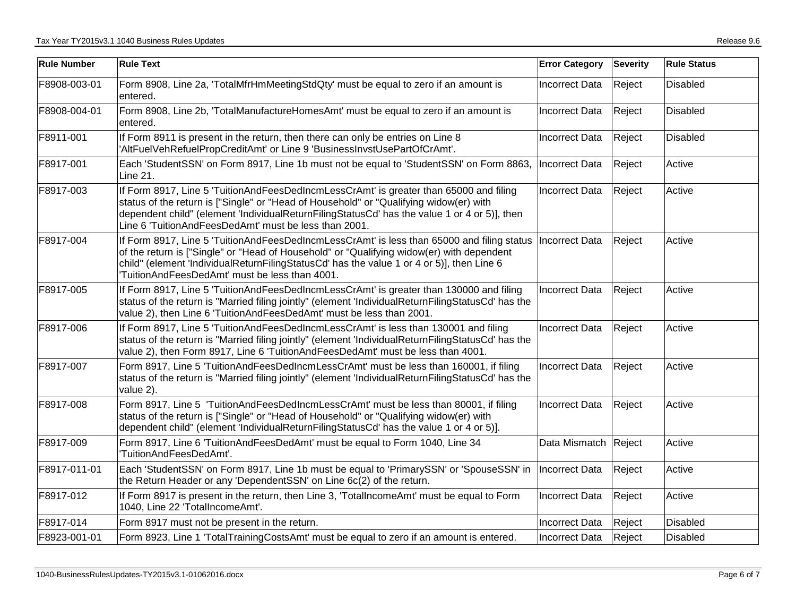| <b>Rule Number</b> | <b>Rule Text</b>                                                                                                                                                                                                                                                                                                                                      | <b>Error Category</b> | <b>Severity</b> | <b>Rule Status</b> |
|--------------------|-------------------------------------------------------------------------------------------------------------------------------------------------------------------------------------------------------------------------------------------------------------------------------------------------------------------------------------------------------|-----------------------|-----------------|--------------------|
| F8908-003-01       | Form 8908, Line 2a, 'TotalMfrHmMeetingStdQty' must be equal to zero if an amount is<br>entered.                                                                                                                                                                                                                                                       | Incorrect Data        | Reject          | <b>Disabled</b>    |
| F8908-004-01       | Form 8908, Line 2b, 'TotalManufactureHomesAmt' must be equal to zero if an amount is<br>entered.                                                                                                                                                                                                                                                      | Incorrect Data        | Reject          | <b>Disabled</b>    |
| F8911-001          | If Form 8911 is present in the return, then there can only be entries on Line 8<br>'AltFuelVehRefuelPropCreditAmt' or Line 9 'BusinessInvstUsePartOfCrAmt'.                                                                                                                                                                                           | Incorrect Data        | Reject          | Disabled           |
| F8917-001          | Each 'StudentSSN' on Form 8917, Line 1b must not be equal to 'StudentSSN' on Form 8863,  Incorrect Data<br>Line 21.                                                                                                                                                                                                                                   |                       | Reject          | Active             |
| F8917-003          | If Form 8917, Line 5 'TuitionAndFeesDedIncmLessCrAmt' is greater than 65000 and filing<br>status of the return is ["Single" or "Head of Household" or "Qualifying widow(er) with<br>dependent child" (element 'IndividualReturnFilingStatusCd' has the value 1 or 4 or 5)], then<br>Line 6 'TuitionAndFeesDedAmt' must be less than 2001.             | Incorrect Data        | Reject          | Active             |
| F8917-004          | If Form 8917, Line 5 'TuitionAndFeesDedIncmLessCrAmt' is less than 65000 and filing status  Incorrect Data<br>of the return is ["Single" or "Head of Household" or "Qualifying widow(er) with dependent<br>child" (element 'IndividualReturnFilingStatusCd' has the value 1 or 4 or 5)], then Line 6<br>TuitionAndFeesDedAmt' must be less than 4001. |                       | Reject          | Active             |
| F8917-005          | If Form 8917, Line 5 'TuitionAndFeesDedIncmLessCrAmt' is greater than 130000 and filing<br>status of the return is "Married filing jointly" (element 'IndividualReturnFilingStatusCd' has the<br>value 2), then Line 6 'TuitionAndFeesDedAmt' must be less than 2001.                                                                                 | <b>Incorrect Data</b> | Reject          | Active             |
| F8917-006          | If Form 8917, Line 5 'TuitionAndFeesDedIncmLessCrAmt' is less than 130001 and filing<br>status of the return is "Married filing jointly" (element 'IndividualReturnFilingStatusCd' has the<br>value 2), then Form 8917, Line 6 'TuitionAndFeesDedAmt' must be less than 4001.                                                                         | <b>Incorrect Data</b> | Reject          | Active             |
| F8917-007          | Form 8917, Line 5 'TuitionAndFeesDedIncmLessCrAmt' must be less than 160001, if filing<br>status of the return is "Married filing jointly" (element 'IndividualReturnFilingStatusCd' has the<br>value 2).                                                                                                                                             | <b>Incorrect Data</b> | Reject          | Active             |
| F8917-008          | Form 8917, Line 5 'TuitionAndFeesDedIncmLessCrAmt' must be less than 80001, if filing<br>status of the return is ["Single" or "Head of Household" or "Qualifying widow(er) with<br>dependent child" (element 'IndividualReturnFilingStatusCd' has the value 1 or 4 or 5)].                                                                            | <b>Incorrect Data</b> | Reject          | Active             |
| F8917-009          | Form 8917, Line 6 'TuitionAndFeesDedAmt' must be equal to Form 1040, Line 34<br>'TuitionAndFeesDedAmt'.                                                                                                                                                                                                                                               | Data Mismatch         | Reject          | Active             |
| F8917-011-01       | Each 'StudentSSN' on Form 8917, Line 1b must be equal to 'PrimarySSN' or 'SpouseSSN' in<br>the Return Header or any 'DependentSSN' on Line 6c(2) of the return.                                                                                                                                                                                       | Incorrect Data        | Reject          | Active             |
| F8917-012          | If Form 8917 is present in the return, then Line 3, 'TotalIncomeAmt' must be equal to Form<br>1040, Line 22 'TotalIncomeAmt'.                                                                                                                                                                                                                         | Incorrect Data        | Reject          | Active             |
| F8917-014          | Form 8917 must not be present in the return.                                                                                                                                                                                                                                                                                                          | Incorrect Data        | Reject          | Disabled           |
| F8923-001-01       | Form 8923, Line 1 'TotalTrainingCostsAmt' must be equal to zero if an amount is entered.                                                                                                                                                                                                                                                              | <b>Incorrect Data</b> | Reject          | <b>Disabled</b>    |